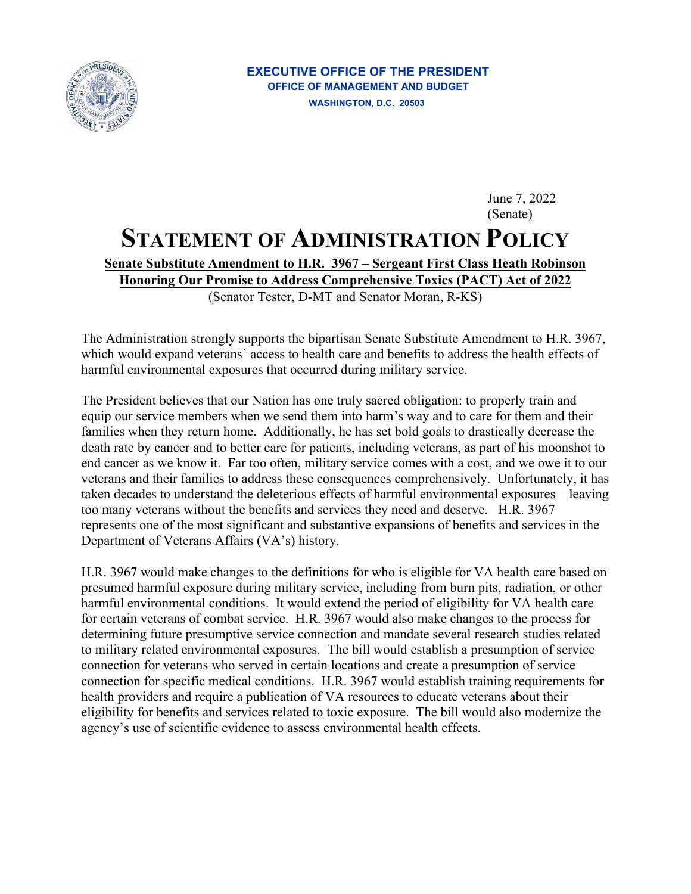

## June 7, 2022 (Senate) **STATEMENT OF ADMINISTRATION POLICY Senate Substitute Amendment to H.R. 3967 – Sergeant First Class Heath Robinson Honoring Our Promise to Address Comprehensive Toxics (PACT) Act of 2022**  (Senator Tester, D-MT and Senator Moran, R-KS)

The Administration strongly supports the bipartisan Senate Substitute Amendment to H.R. 3967, which would expand veterans' access to health care and benefits to address the health effects of harmful environmental exposures that occurred during military service.

The President believes that our Nation has one truly sacred obligation: to properly train and equip our service members when we send them into harm's way and to care for them and their families when they return home. Additionally, he has set bold goals to drastically decrease the death rate by cancer and to better care for patients, including veterans, as part of his moonshot to end cancer as we know it. Far too often, military service comes with a cost, and we owe it to our veterans and their families to address these consequences comprehensively. Unfortunately, it has taken decades to understand the deleterious effects of harmful environmental exposures—leaving too many veterans without the benefits and services they need and deserve. H.R. 3967 represents one of the most significant and substantive expansions of benefits and services in the Department of Veterans Affairs (VA's) history.

H.R. 3967 would make changes to the definitions for who is eligible for VA health care based on presumed harmful exposure during military service, including from burn pits, radiation, or other harmful environmental conditions. It would extend the period of eligibility for VA health care for certain veterans of combat service. H.R. 3967 would also make changes to the process for determining future presumptive service connection and mandate several research studies related to military related environmental exposures. The bill would establish a presumption of service connection for veterans who served in certain locations and create a presumption of service connection for specific medical conditions. H.R. 3967 would establish training requirements for health providers and require a publication of VA resources to educate veterans about their eligibility for benefits and services related to toxic exposure. The bill would also modernize the agency's use of scientific evidence to assess environmental health effects.